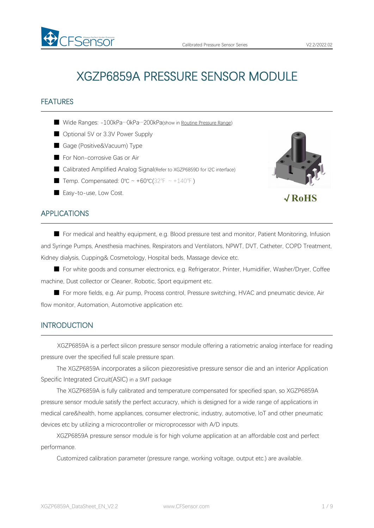# XGZP6859A PRESSURE SENSOR MODULE

## FEATURES

- Wide Ranges: -100kPa…0kPa…200kPa(show in Routine [Pressure](#page-4-0) Range)
- Optional 5V or 3.3V Power Supply
- Gage (Positive&Vacuum) Type
- For Non-corrosive Gas or Air
- Calibrated Amplified Analog Signal(Refer to XGZP6859D for I2C interface)
- Temp. Compensated:  $0^{\circ}C \sim +60^{\circ}C(32^{\circ}F \sim +140^{\circ}F)$
- Easy-to-use, Low Cost.



√**RoHS**

## APPLICATIONS

■ For medical and healthy equipment, e.g. Blood pressure test and monitor, Patient Monitoring, Infusion and Syringe Pumps, Anesthesia machines, Respirators and Ventilators, NPWT, DVT, Catheter, COPD Treatment, Kidney dialysis, Cupping& Cosmetology, Hospital beds, Massage device etc.

■ For white goods and consumer electronics, e.g. Refrigerator, Printer, Humidifier, Washer/Dryer, Coffee machine, Dust collector or Cleaner, Robotic, Sport equipment etc.

■ For more fields, e.g. Air pump, Process control, Pressure switching, HVAC and pneumatic device, Air flow monitor, Automation, Automotive application etc.

## **INTRODUCTION**

XGZP6859A is a perfect silicon pressure sensor module offering a ratiometric analog interface for reading pressure over the specified full scale pressure span.

The XGZP6859A incorporates a silicon piezoresistive pressure sensor die and an interior Application Specific Integrated Circuit(ASIC) in a SMT package

The XGZP6859A is fully calibrated and temperature compensated for specified span, so XGZP6859A pressure sensor module satisfy the perfect accuracry, which is designed for a wide range of applications in medical care&health, home appliances, consumer electronic, industry, automotive, loT and other pneumatic devices etc by utilizing a microcontroller or microprocessor with A/D inputs.

XGZP6859A pressure sensor module is for high volume application at an affordable cost and perfect performance.

Customized calibration parameter (pressure range, working voltage, output etc.) are available.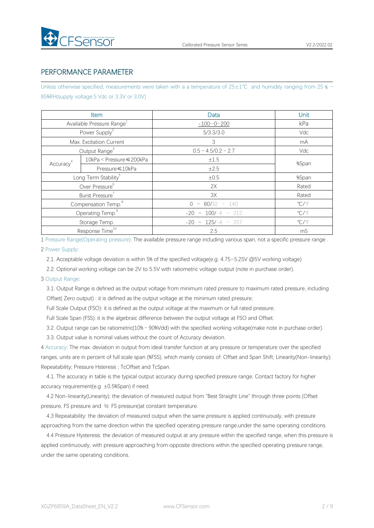

## PERFORMANCE PARAMETER

Unless otherwise specified, measurements were taken with a a temperature of 25±1℃ and humidity ranging from 25 % ~ 85%RH(supply voltage:5 Vdc or 3.3V or 3.0V)

|                       | Item                                  | Data                        | Unit                    |
|-----------------------|---------------------------------------|-----------------------------|-------------------------|
|                       | Available Pressure Range <sup>1</sup> | $-1000200$                  | kPa                     |
|                       | Power Supply <sup>2</sup>             | 5/3.3/3.0                   | Vdc                     |
|                       | Max. Excitation Current               | 3                           | mA                      |
|                       | Output Range <sup>3</sup>             | $0.5 \sim 4.5/0.2 \sim 2.7$ | Vdc                     |
| Accuracy <sup>4</sup> | 10kPa < Pressure ≤ 200kPa             | $\pm 1.5$                   | %Span                   |
|                       | Pressure ≤10kPa                       | ±2.5                        |                         |
|                       | Long Term Stability <sup>5</sup>      | ±0.5                        | %Span                   |
|                       | Over Pressure <sup>6</sup>            | 2X                          | Rated                   |
|                       | Burst Pressure <sup>7</sup>           | 3X                          | Rated                   |
|                       | Compensation Temp. <sup>8</sup>       | $0 \sim 60/32 \sim 140$     | $\mathrm{C}/\mathrm{F}$ |
|                       | Operating Temp. <sup>9</sup>          | $-20 \sim 100/-4 \sim 212$  | $\mathrm{C}/\mathrm{F}$ |
|                       | Storage Temp.                         | $-20 \sim 125/-4 \sim 257$  | $\mathrm{C}/\mathrm{F}$ |
|                       | Response Time <sup>10</sup>           | 2.5                         | mS                      |

1 Pressure Range(Operating pressure): The available pressure range including variousspan, not a specific pressure range .

#### 2 Power Supply:

2.1. Acceptable voltage deviation is within 5% of the specified voltage(e.g. 4.75~5.25V @5V working voltage)

2.2. Optional working voltage can be 2V to 5.5V with ratiometric voltage output (note in purchase order).

### 3 Output Range:

3.1. Output Range is defined as the output voltage from minimum rated pressure to maximum rated pressure, including Offset( Zero output) : it is defined as the output voltage at the minimum rated pressure;

Full Scale Output (FSO): it is defined as the output voltage at the maximum or full rated pressure;

Full Scale Span (FSS): it is the algebraic difference between the output voltage at FSO and Offset.

3.2. Output range can be ratiometric(10%~90%Vdd) with the specified working voltage(make note in purchase order).

3.3. Output value is nominal values without the count of Accuracy deviation.

4 Accuracy: The max. deviation in output from ideal transfer function at any pressure or temperature over the specified ranges, units are in percent of full scale span (%FSS), which mainly consists of: Offset and Span Shift; Linearity(Non-linearity); Repeatability; Pressure Hsteresis ; TcOffset and TcSpan.

4.1. The accuracy in table is the typical output accuracy during specified pressure range. Contact factory for higher accuracy requirement(e.g  $\pm$ 0.5%Span) if need.

4.2 Non-linearity(Linearity): the deviation of measured output from "Best Straight Line" through three points (Offset pressure, FS pressure and ½ FS pressure)at constant temperature.

4.3 Repeatability: the deviation of measured output when the same pressure is applied continuously, with pressure approaching from the same direction within the specified operating pressure range,under the same operating conditions.

4.4 Pressure Hysteresis: the deviation of measured output at any pressure within the specified range, when this pressure is applied continuously, with pressure approaching from opposite directions within the specified operating pressure range, under the same operating conditions.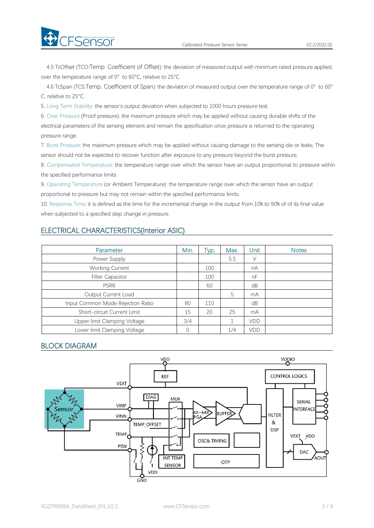4.5 TcOffset (TCO:Temp. Coefficient of Offset): the deviation of measured output with minimum rated pressure applied, over the temperature range of 0° to 60°C, relative to 25°C.

4.6 TcSpan (TCS:Temp. Coefficient of Span): the deviation of measured output over the temperature range of 0° to 60° C, relative to 25°C.

5. Long Term Stability: the sensor's output deviation when subjected to 1000 hours pressure test.

6. Over Pressure (Proof pressure): the maximum pressure which may be applied without causing durable shifts of the electrical parameters of the sensing element and remain the specification once pressure is returned to the operating pressure range.

7. Burst Pressure: the maximum pressure which may be applied without causing damage to the sensing die or leaks; The sensor should not be expected to recover function after exposure to any pressure beyond the burst pressure.

8. Compensated Temperature: the temperature range over which the sensor have an output proportional to pressure within the specified performance limits.

9. Operating Temperature (or Ambient Temperature): the temperature range over which the sensor have an output proportional to pressure but may not remain within the specified performance limits.

10. Response Time: it is defined as the time for the incremental change in the output from 10% to 90% of of its final value when subjected to a specified step change in pressure.

## ELECTRICAL CHARACTERISTICS(Interior ASIC)

| Parameter                         | Min.     | Typ. | Max. | Unit | <b>Notes</b> |
|-----------------------------------|----------|------|------|------|--------------|
| Power Supply                      |          |      | 5.5  | V    |              |
| <b>Working Current</b>            |          | 100  |      | nA   |              |
| <b>Filter Capacitor</b>           |          | 100  |      | nF   |              |
| <b>PSRR</b>                       |          | 60   |      | dB   |              |
| Output Current Load               |          |      | 5    | mA   |              |
| Input Common Mode Rejection Ratio | 80       | 110  |      | dB   |              |
| Short-circuit Current Limit       | 15       | 20   | 25   | mA   |              |
| Upper limit Clamping Voltage      | 3/4      |      |      | VDD  |              |
| Lower limit Clamping Voltage      | $\Omega$ |      | 1/4  | VDD  |              |

## BLOCK DIAGRAM

**Exercise** 

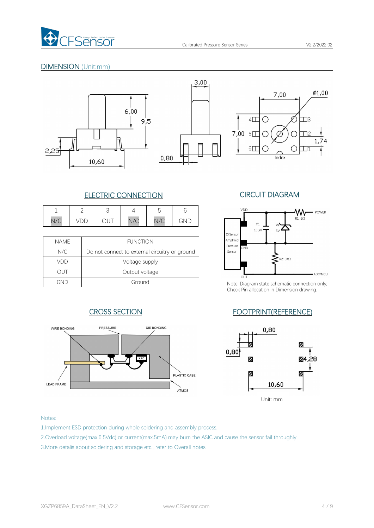

## DIMENSION (Unit:mm)





 $3,00$ 



## ELECTRIC CONNECTION CIRCUIT DIAGRAM

|             |                               |                                              |                        |                        |         | VDD |
|-------------|-------------------------------|----------------------------------------------|------------------------|------------------------|---------|-----|
| N11C<br>N/C | ີ<br>$\overline{\phantom{0}}$ | $\overline{\phantom{a}}$<br>◡<br>$\check{ }$ | $\sqrt{2}$<br>$V \cup$ | $\sqrt{2}$<br>$V \cup$ | п<br>NL | C1  |

| <b>NAME</b> | <b>FUNCTION</b>                                | Amplified<br>Pressure |               |
|-------------|------------------------------------------------|-----------------------|---------------|
| N/C         | Do not connect to external circuitry or ground | Sensor                | GND           |
| VDD         | Voltage supply                                 |                       |               |
| JUT         | Output voltage                                 |                       | OIII          |
| GND         | Ground                                         |                       | Note: Diagrar |





Note: Diagram state schematic connection only; Check Pin allocation in Dimension drawing.

## CROSS SECTION FOOTPRINT(REFERENCE)



## Notes:

1.Implement ESD protection during whole soldering and assembly process.

2.Overload voltage(max.6.5Vdc) or current(max.5mA) may burn the ASIC and cause the sensor fail throughly.

3.More detalis about soldering and storage etc., refer to Overall notes.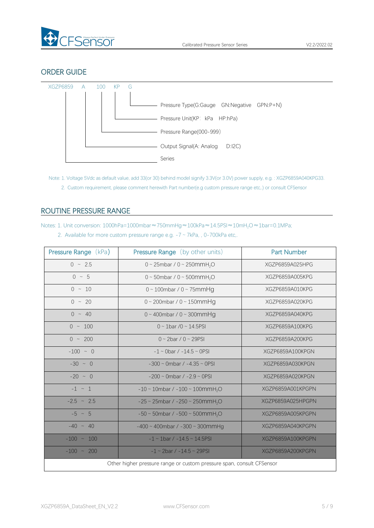

## ORDER GUIDE



Note: 1. Voltage 5Vdc as default value, add 33(or 30) behind model signify 3.3V(or 3.0V) power supply, e.g. : XGZP6859A040KPG33.

2. Custom requirement, please comment herewith Part number(e.g custom pressure range etc,.) or consult CFSensor

## <span id="page-4-0"></span>ROUTINE PRESSURE RANGE

Notes: 1. Unit conversion: 1000hPa=1000mbar≈750mmHg≈100kPa≈14.5PSI≈10mH<sub>2</sub>O≈1bar=0.1MPa;

2. Available for more custom pressure range e.g. -7 ~ 7kPa, , 0-700kPa etc,.

| <b>Pressure Range (kPa)</b> | <b>Pressure Range</b> (by other units)                                | <b>Part Number</b> |
|-----------------------------|-----------------------------------------------------------------------|--------------------|
| $0 \sim 2.5$                | 0 ~ 25mbar / 0 ~ 250mmH <sub>2</sub> O                                | XGZP6859A025HPG    |
| $0 \sim 5$                  | 0 ~ 50mbar / 0 ~ 500mmH <sub>2</sub> O                                | XGZP6859A005KPG    |
| $0 \sim 10$                 | $0 \sim 100$ mbar / $0 \sim 75$ mmHg                                  | XGZP6859A010KPG    |
| $0 \sim 20$                 | $0 \sim 200$ mbar / $0 \sim 150$ mmHg                                 | XGZP6859A020KPG    |
| $0 \sim 40$                 | $0 \sim 400$ mbar / $0 \sim 300$ mmHg                                 | XGZP6859A040KPG    |
| $0 \sim 100$                | $0 \sim 1$ bar /0 ~ 14.5PSI                                           | XGZP6859A100KPG    |
| $0 \sim 200$                | $0 \sim 2$ bar / $0 \sim 29$ PSI                                      | XGZP6859A200KPG    |
| $-100 ~ \sim ~ 0$           | $-1 \sim$ 0bar / $-14.5 \sim$ 0PSI                                    | XGZP6859A100KPGN   |
| $-30 \sim 0$                | $-300 \sim$ 0mbar / $-4.35 \sim$ 0PSI                                 | XGZP6859A030KPGN   |
| $-20 \sim 0$                | $-200 \sim$ 0mbar / $-2.9 \sim$ 0PSI                                  | XGZP6859A020KPGN   |
| $-1$ $\sim$ 1               | $-10 \sim 10$ mbar / $-100 \sim 100$ mmH <sub>2</sub> O               | XGZP6859A001KPGPN  |
| $-2.5$ ~ 2.5                | $-25 \sim 25$ mbar / $-250 \sim 250$ mmH <sub>2</sub> O               | XGZP6859A025HPGPN  |
| $-5 \sim 5$                 | $-50 \sim 50$ mbar / $-500 \sim 500$ mmH <sub>2</sub> O               | XGZP6859A005KPGPN  |
| $-40 \sim 40$               | $-400 \sim 400$ mbar / $-300 \sim 300$ mmHg                           | XGZP6859A040KPGPN  |
| $-100 \sim 100$             | $-1 \sim 1$ bar / $-14.5 \sim 14.5$ PSI                               | XGZP6859A100KPGPN  |
| $-100 \sim 200$             | $-1 \sim 2$ bar / $-14.5 \sim 29$ PSI                                 | XGZP6859A200KPGPN  |
|                             | Other higher pressure range or custom pressure span, consult CFSensor |                    |
|                             |                                                                       |                    |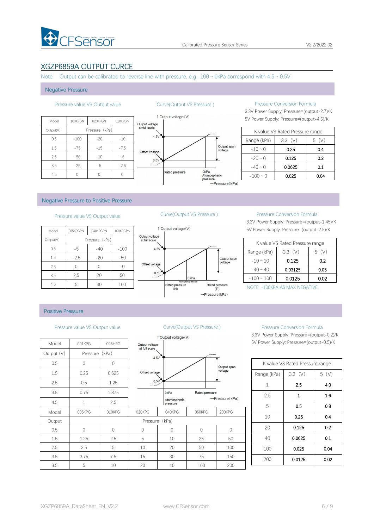

## XGZP6859A OUTPUT CURCE

Note: Output can be calibrated to reverse line with pressure, e.g.-100  $\sim$  0kPa correspond with 4.5  $\sim$  0.5V;

#### Negative Pressure

|           |         |                |         |                | <b>Dutput voltage (V)</b> |
|-----------|---------|----------------|---------|----------------|---------------------------|
| Model     | 100KPGN | 020KPGN        | 010KPGN | Output voltage |                           |
| Output(V) |         | Pressure (kPa) |         | at full scale  |                           |
| 0.5       | $-100$  | $-20$          | $-10$   | 4.5V           |                           |
| 1.5       | $-75$   | $-15$          | $-7.5$  | Offset voltage |                           |
| 2.5       | $-50$   | $-10$          | $-5$    | 0.5V           |                           |
| 3.5       | $-25$   | $-5$           | $-2.5$  | $\cdots$       |                           |
| 4.5       |         | 0              | 0       |                | <b>Rated pressure</b>     |



### Pressure value VS Output value Curve(Output VS Pressure ) Pressure Conversion Formula

3.3V Power Supply: Pressure=(output-2.7)/K

|               | K value VS Rated Pressure range |      |
|---------------|---------------------------------|------|
| Range (kPa)   | 3.3(V)                          | 5 (V |
| $-10 \sim 0$  | 0.25                            | 0.4  |
| $-20 \sim 0$  | 0.125                           | 0.2  |
| $-40 \sim 0$  | 0.0625                          | 0.1  |
| $-100 \sim 0$ | 0.025                           | 0.04 |

#### Negative Pressure to Positive Pressure

## Pressure value VS Output value Curve(Output VS Pressure ) Pressure Conversion Formula

| 1 Output vo     |                                 | 100KPGPN | 040KPGPN       | 005KPGPN | Model     |
|-----------------|---------------------------------|----------|----------------|----------|-----------|
|                 | Output voltage<br>at full scale |          | Pressure (kPa) |          | Output(V) |
|                 | 4.5V                            | $-100$   | $-40$          | -5       | 0.5       |
|                 |                                 | $-50$    | $-20$          | $-2.5$   | 1.5       |
|                 | Offset voltage                  | $-()$    |                |          | 2.5       |
|                 | 0.5V                            | 50       | 20             | 2.5      | 3.5       |
| Rated pr<br>(N) |                                 | 100      | 40             | 5        | 4.5       |



3.3V Power Supply: Pressure=(output-1.45)/K 5V Power Supply: Pressure=(output-2.5)/K

|                 | K value VS Rated Pressure range |          |
|-----------------|---------------------------------|----------|
| Range (kPa)     | 3.3(V)                          | (V)<br>5 |
| $-10 \sim 10$   | 0.125                           | 0.2      |
| $-40 \sim 40$   | 0.03125                         | 0.05     |
| $-100 \sim 100$ | 0.0125                          | 0.02     |

NOTE: -100KPA AS MAX NEGATIVE

### Positive Pressure

#### Pressure value VS Output value Curve(Output VS Pressure ) Pressure Conversion Formula

|            |                |                |                                 | 1 Output voltage (V)     |             |
|------------|----------------|----------------|---------------------------------|--------------------------|-------------|
| Model      | 001KPG         | 025HPG         | Output voltage<br>at full scale |                          |             |
| Output (V) | Pressure (kPa) |                | 4.5V                            |                          |             |
| 0.5        | $\mathbf 0$    | $\overline{0}$ |                                 |                          |             |
| 1.5        | 0.25           | 0.625          | Offset voltage                  |                          |             |
| 2.5        | 0.5            | 1.25           | 0.5V                            |                          |             |
| 3.5        | 0.75           | 1.875          |                                 | 0 <sub>kPa</sub>         | Rated       |
| 4.5        | $\mathbf{1}$   | 2.5            |                                 | Atomospheric<br>pressure |             |
| Model      | 005KPG         | 010KPG         | 020KPG                          | 040KPG                   | 060K        |
| Output     |                |                | Pressure                        | (kPa)                    |             |
| 0.5        | $\mathbf 0$    | $\Omega$       | $\Omega$                        | $\mathbf 0$              | $\mathbf 0$ |
| 1.5        | 1.25           | 2.5            | 5                               | 10                       | 25          |
| 2.5        | 2.5            | 5              | 10                              | 20                       | 50          |
| 3.5        | 3.75           | 7.5            | 15                              | 30                       | 75          |
| 3.5        | 5              | 10             | 20                              | 40                       | 100         |



3.3V Power Supply: Pressure=(output-0.2)/K 5V Power Supply: Pressure=(output-0.5)/K

|              | K value VS Rated Pressure range |      |
|--------------|---------------------------------|------|
| Range (kPa)  | 3.3(V)                          | 5(V) |
| $\mathbf{1}$ | 2.5                             | 4.0  |
| 2.5          | 1                               | 1.6  |
| 5            | 0.5                             | 0.8  |
| 10           | 0.25                            | 0.4  |
| 20           | 0.125                           | 0.2  |
| 40           | 0.0625                          | 0.1  |
| 100          | 0.025                           | 0.04 |
| 200          | 0.0125                          | 0.02 |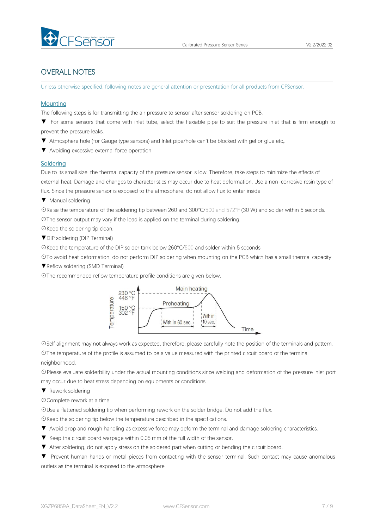

## OVERALL NOTES

Unless otherwise specified, following notes are general attention or presentation for all products from CFSensor.

### **Mounting**

The following steps is for transmitting the air pressure to sensor after sensor soldering on PCB.

- ▼ For some sensors that come with inlet tube, select the flexiable pipe to suit the pressure inlet that is firm enough to prevent the pressure leaks.
- ▼ Atmosphere hole (for Gauge type sensors) and Inlet pipe/hole can't be blocked with gel or glue etc,..
- ▼ Avoiding excessive external force operation

### **Soldering**

Due to its small size, the thermal capacity of the pressure sensor is low. Therefore, take steps to minimize the effects of external heat. Damage and changes to characteristics may occur due to heat deformation. Use a non-corrosive resin type of flux. Since the pressure sensor is exposed to the atmosphere, do not allow flux to enter inside.

▼ Manual soldering

☉Raise the temperature of the soldering tip between 260 and 300°C/500 and 572°F (30 W) and solder within 5 seconds. ☉The sensor output may vary if the load is applied on the terminal during soldering.

- ☉Keep the soldering tip clean.
- ▼DIP soldering (DIP Terminal)

☉Keep the temperature of the DIP solder tank below 260°C/500 and solder within 5 seconds.

☉To avoid heat deformation, do not perform DIP soldering when mounting on the PCB which has a small thermal capacity.

- ▼Reflow soldering (SMD Terminal)
- ☉The recommended reflow temperature profile conditions are given below.



☉Self alignment may not always work as expected, therefore, please carefully note the position of the terminals and pattern. ☉The temperature of the profile is assumed to be a value measured with the printed circuit board of the terminal neighborhood.

☉Please evaluate solderbility under the actual mounting conditions since welding and deformation of the pressure inlet port may occur due to heat stress depending on equipments or conditions.

▼ Rework soldering

☉Complete rework at a time.

☉Use a flattened soldering tip when performing rework on the solder bridge. Do not add the flux.

☉Keep the soldering tip below the temperature described in the specifications.

- ▼ Avoid drop and rough handling as excessive force may deform the terminal and damage soldering characteristics.
- 
- ▼ Keep the circuit board warpage within 0.05 mm of the full width of the sensor.<br>▼ After soldering, do not apply stress on the soldered part when cutting or bending the circuit board.

▼ Prevent human hands or metal pieces from contacting with the sensor terminal. Such contact may cause anomalous outlets as the terminal is exposed to the atmosphere.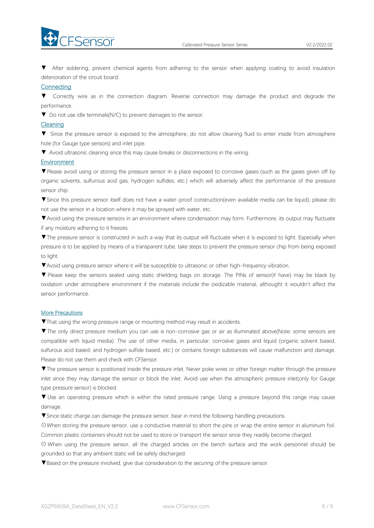



▼ After soldering, prevent chemical agents from adhering to the sensor when applying coating to avoid insulation deterioration of the circuit board.

### **Connecting**

▼ Correctly wire as in the connection diagram. Reverse connection may damage the product and degrade the performance.

▼ Do not use idle terminals(N/C) to prevent damages to the sensor.

### Cleaning

▼ Since the pressure sensor is exposed to the atmosphere, do not allow cleaning fluid to enter inside from atmosphere hole (for Gauge type sensors) and inlet pipe.

▼ Avoid ultrasonic cleaning since this may cause breaks or disconnections in the wiring.

### **Environment**

▼Please avoid using or storing the pressure sensor in a place exposed to corrosive gases (such as the gases given off by organic solvents, sulfurous acid gas, hydrogen sulfides, etc.) which will adversely affect the performance of the pressure sensor chip.

▼Since this pressure sensor itself does not have a water-proof construction(even available media can be liquid), please do not use the sensor in alocation where it may be sprayed with water, etc.

▼Avoid using the pressure sensors in an environment where condensation may form. Furthermore, its output may fluctuate if any moisture adhering to it freezes.

▼The pressure sensor is constructed in such a way that its output will fluctuate when it is exposed to light. Especially when pressure is to be applied by means of a transparent tube, take steps to prevent the pressure sensor chip from being exposed to light.

▼Avoid using pressure sensor where it will be susceptible to ultrasonic or other high-frequency vibration.

▼ Please keep the sensors sealed using static shielding bags on storage. The PINs of sensor(if have) may be black by oxidation under atmosphere environment if the materials include the oxidizable material, althought it wouldn't affect the sensor performance.

### More Precautions

▼That using the wrong pressure range or mounting method mayresult in accidents.

▼The only direct pressure medium you can use is non-corrosive gas or air as illuminated above(Note: some sensors are compatible with liquid media). The use of other media, in particular, corrosive gases and liquid (organic solvent based, sulfurous acid based, and hydrogen sulfide based, etc.) or contains foreign substances will cause malfunction and damage.<br>Please do not use them and check with CFSensor.

▼The pressure sensor is positioned inside the pressure inlet. Never poke wires orother foreign matter through the pressure inlet since they may damage the sensor or block the inlet. Avoid use when the atmospheric pressure inlet(only for Gauge type pressure sensor) is blocked.

▼ Use an operating pressure which is within the rated pressure range. Using a pressure beyond this range may cause damage.

▼Since static charge can damage the pressure sensor, bear in mind the following handling precautions.

☉When storing the pressure sensor, use a conductive material to short the pins or wrap the entire sensor in aluminum foil. Common plastic containers should not be used to store or transport the sensor since they readily become charged.

⊙ When using the pressure sensor, all the charged articles on the bench surface and the work personnel should be grounded so that any ambient static will be safely discharged.

▼Based on the pressure involved, give due consideration to the securing of the pressure sensor.